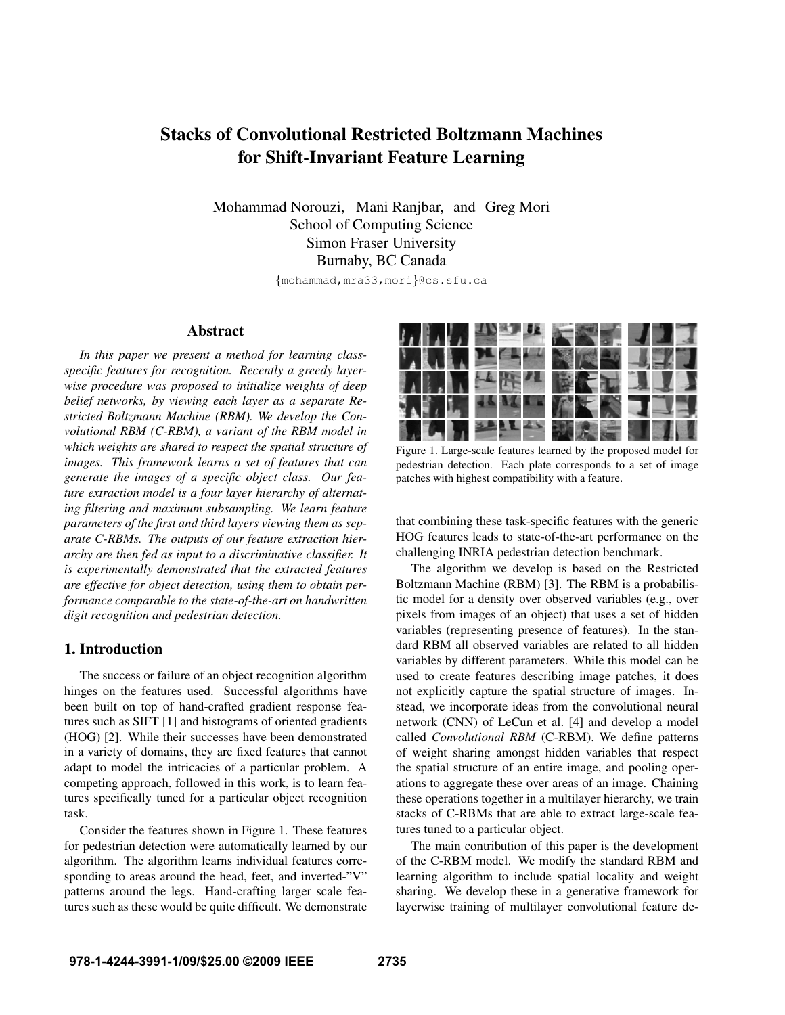# Stacks of Convolutional Restricted Boltzmann Machines for Shift-Invariant Feature Learning

Mohammad Norouzi, Mani Ranjbar, and Greg Mori School of Computing Science Simon Fraser University Burnaby, BC Canada

{mohammad,mra33,mori}@cs.sfu.ca

# Abstract

*In this paper we present a method for learning classspecific features for recognition. Recently a greedy layerwise procedure was proposed to initialize weights of deep belief networks, by viewing each layer as a separate Restricted Boltzmann Machine (RBM). We develop the Convolutional RBM (C-RBM), a variant of the RBM model in which weights are shared to respect the spatial structure of images. This framework learns a set of features that can generate the images of a specific object class. Our feature extraction model is a four layer hierarchy of alternating filtering and maximum subsampling. We learn feature parameters of the first and third layers viewing them as separate C-RBMs. The outputs of our feature extraction hierarchy are then fed as input to a discriminative classifier. It is experimentally demonstrated that the extracted features are effective for object detection, using them to obtain performance comparable to the state-of-the-art on handwritten digit recognition and pedestrian detection.*

# 1. Introduction

The success or failure of an object recognition algorithm hinges on the features used. Successful algorithms have been built on top of hand-crafted gradient response features such as SIFT [1] and histograms of oriented gradients (HOG) [2]. While their successes have been demonstrated in a variety of domains, they are fixed features that cannot adapt to model the intricacies of a particular problem. A competing approach, followed in this work, is to learn features specifically tuned for a particular object recognition task.

Consider the features shown in Figure 1. These features for pedestrian detection were automatically learned by our algorithm. The algorithm learns individual features corresponding to areas around the head, feet, and inverted-"V" patterns around the legs. Hand-crafting larger scale features such as these would be quite difficult. We demonstrate



Figure 1. Large-scale features learned by the proposed model for pedestrian detection. Each plate corresponds to a set of image patches with highest compatibility with a feature.

that combining these task-specific features with the generic HOG features leads to state-of-the-art performance on the challenging INRIA pedestrian detection benchmark.

The algorithm we develop is based on the Restricted Boltzmann Machine (RBM) [3]. The RBM is a probabilistic model for a density over observed variables (e.g., over pixels from images of an object) that uses a set of hidden variables (representing presence of features). In the standard RBM all observed variables are related to all hidden variables by different parameters. While this model can be used to create features describing image patches, it does not explicitly capture the spatial structure of images. Instead, we incorporate ideas from the convolutional neural network (CNN) of LeCun et al. [4] and develop a model called *Convolutional RBM* (C-RBM). We define patterns of weight sharing amongst hidden variables that respect the spatial structure of an entire image, and pooling operations to aggregate these over areas of an image. Chaining these operations together in a multilayer hierarchy, we train stacks of C-RBMs that are able to extract large-scale features tuned to a particular object.

The main contribution of this paper is the development of the C-RBM model. We modify the standard RBM and learning algorithm to include spatial locality and weight sharing. We develop these in a generative framework for layerwise training of multilayer convolutional feature de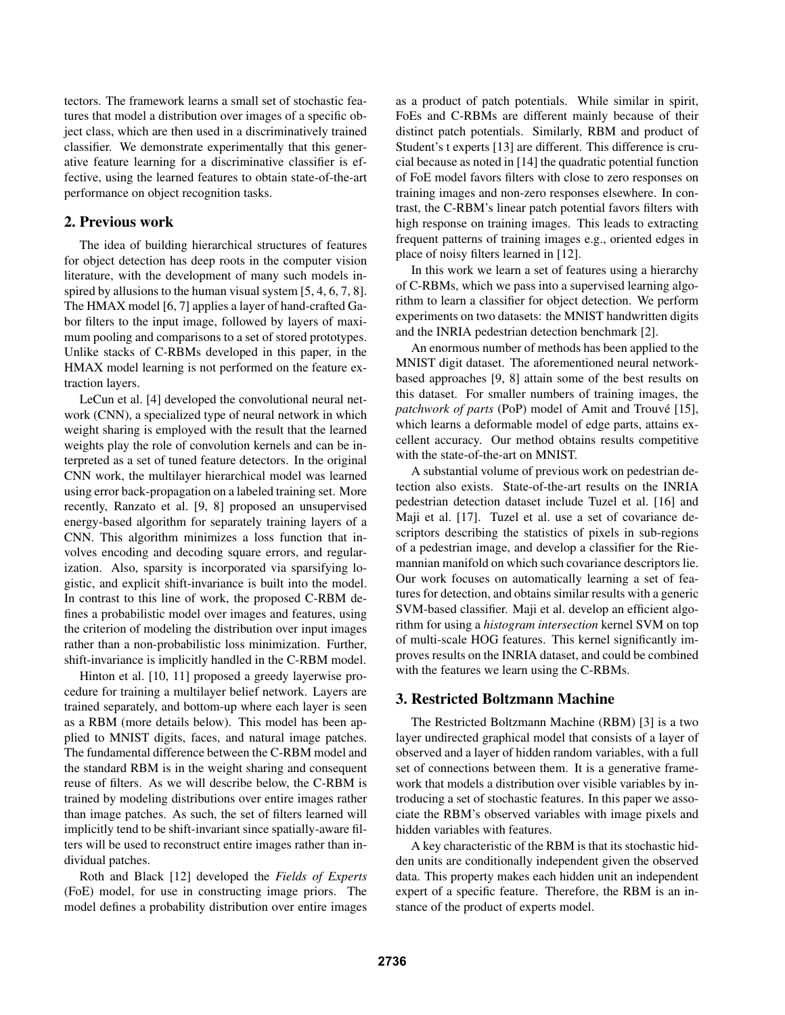tectors. The framework learns a small set of stochastic features that model a distribution over images of a specific object class, which are then used in a discriminatively trained classifier. We demonstrate experimentally that this generative feature learning for a discriminative classifier is effective, using the learned features to obtain state-of-the-art performance on object recognition tasks.

# 2. Previous work

The idea of building hierarchical structures of features for object detection has deep roots in the computer vision literature, with the development of many such models inspired by allusions to the human visual system [5, 4, 6, 7, 8]. The HMAX model [6, 7] applies a layer of hand-crafted Gabor filters to the input image, followed by layers of maximum pooling and comparisons to a set of stored prototypes. Unlike stacks of C-RBMs developed in this paper, in the HMAX model learning is not performed on the feature extraction layers.

LeCun et al. [4] developed the convolutional neural network (CNN), a specialized type of neural network in which weight sharing is employed with the result that the learned weights play the role of convolution kernels and can be interpreted as a set of tuned feature detectors. In the original CNN work, the multilayer hierarchical model was learned using error back-propagation on a labeled training set. More recently, Ranzato et al. [9, 8] proposed an unsupervised energy-based algorithm for separately training layers of a CNN. This algorithm minimizes a loss function that involves encoding and decoding square errors, and regularization. Also, sparsity is incorporated via sparsifying logistic, and explicit shift-invariance is built into the model. In contrast to this line of work, the proposed C-RBM defines a probabilistic model over images and features, using the criterion of modeling the distribution over input images rather than a non-probabilistic loss minimization. Further, shift-invariance is implicitly handled in the C-RBM model.

Hinton et al. [10, 11] proposed a greedy layerwise procedure for training a multilayer belief network. Layers are trained separately, and bottom-up where each layer is seen as a RBM (more details below). This model has been applied to MNIST digits, faces, and natural image patches. The fundamental difference between the C-RBM model and the standard RBM is in the weight sharing and consequent reuse of filters. As we will describe below, the C-RBM is trained by modeling distributions over entire images rather than image patches. As such, the set of filters learned will implicitly tend to be shift-invariant since spatially-aware filters will be used to reconstruct entire images rather than individual patches.

Roth and Black [12] developed the *Fields of Experts* (FoE) model, for use in constructing image priors. The model defines a probability distribution over entire images as a product of patch potentials. While similar in spirit, FoEs and C-RBMs are different mainly because of their distinct patch potentials. Similarly, RBM and product of Student's t experts [13] are different. This difference is crucial because as noted in [14] the quadratic potential function of FoE model favors filters with close to zero responses on training images and non-zero responses elsewhere. In contrast, the C-RBM's linear patch potential favors filters with high response on training images. This leads to extracting frequent patterns of training images e.g., oriented edges in place of noisy filters learned in [12].

In this work we learn a set of features using a hierarchy of C-RBMs, which we pass into a supervised learning algorithm to learn a classifier for object detection. We perform experiments on two datasets: the MNIST handwritten digits and the INRIA pedestrian detection benchmark [2].

An enormous number of methods has been applied to the MNIST digit dataset. The aforementioned neural networkbased approaches [9, 8] attain some of the best results on this dataset. For smaller numbers of training images, the *patchwork of parts* (PoP) model of Amit and Trouvé [15], which learns a deformable model of edge parts, attains excellent accuracy. Our method obtains results competitive with the state-of-the-art on MNIST.

A substantial volume of previous work on pedestrian detection also exists. State-of-the-art results on the INRIA pedestrian detection dataset include Tuzel et al. [16] and Maji et al. [17]. Tuzel et al. use a set of covariance descriptors describing the statistics of pixels in sub-regions of a pedestrian image, and develop a classifier for the Riemannian manifold on which such covariance descriptors lie. Our work focuses on automatically learning a set of features for detection, and obtains similar results with a generic SVM-based classifier. Maji et al. develop an efficient algorithm for using a *histogram intersection* kernel SVM on top of multi-scale HOG features. This kernel significantly improves results on the INRIA dataset, and could be combined with the features we learn using the C-RBMs.

# 3. Restricted Boltzmann Machine

The Restricted Boltzmann Machine (RBM) [3] is a two layer undirected graphical model that consists of a layer of observed and a layer of hidden random variables, with a full set of connections between them. It is a generative framework that models a distribution over visible variables by introducing a set of stochastic features. In this paper we associate the RBM's observed variables with image pixels and hidden variables with features.

A key characteristic of the RBM is that its stochastic hidden units are conditionally independent given the observed data. This property makes each hidden unit an independent expert of a specific feature. Therefore, the RBM is an instance of the product of experts model.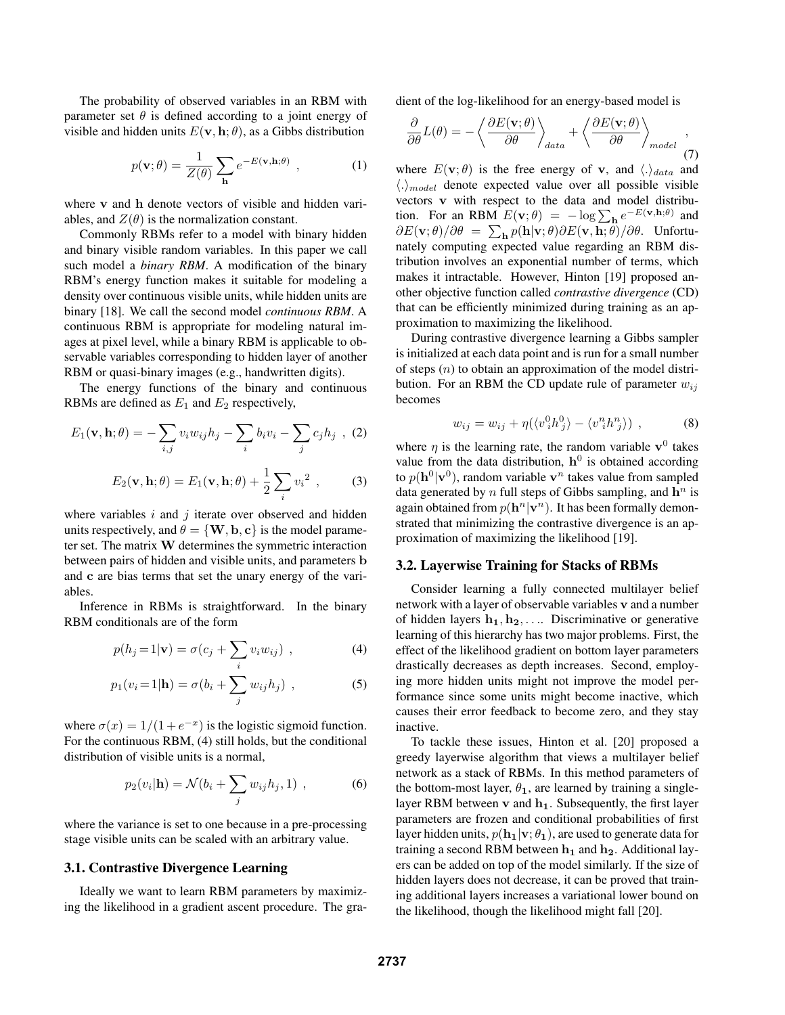The probability of observed variables in an RBM with parameter set  $\theta$  is defined according to a joint energy of visible and hidden units  $E(\mathbf{v}, \mathbf{h}; \theta)$ , as a Gibbs distribution

$$
p(\mathbf{v};\theta) = \frac{1}{Z(\theta)} \sum_{\mathbf{h}} e^{-E(\mathbf{v}, \mathbf{h}; \theta)}, \qquad (1)
$$

where v and h denote vectors of visible and hidden variables, and  $Z(\theta)$  is the normalization constant.

Commonly RBMs refer to a model with binary hidden and binary visible random variables. In this paper we call such model a *binary RBM*. A modification of the binary RBM's energy function makes it suitable for modeling a density over continuous visible units, while hidden units are binary [18]. We call the second model *continuous RBM*. A continuous RBM is appropriate for modeling natural images at pixel level, while a binary RBM is applicable to observable variables corresponding to hidden layer of another RBM or quasi-binary images (e.g., handwritten digits).

The energy functions of the binary and continuous RBMs are defined as  $E_1$  and  $E_2$  respectively,

$$
E_1(\mathbf{v}, \mathbf{h}; \theta) = -\sum_{i,j} v_i w_{ij} h_j - \sum_i b_i v_i - \sum_j c_j h_j , (2)
$$

$$
E_2(\mathbf{v}, \mathbf{h}; \theta) = E_1(\mathbf{v}, \mathbf{h}; \theta) + \frac{1}{2} \sum_i v_i^2 , (3)
$$

where variables  $i$  and  $j$  iterate over observed and hidden units respectively, and  $\theta = \{W, b, c\}$  is the model parameter set. The matrix W determines the symmetric interaction between pairs of hidden and visible units, and parameters b and c are bias terms that set the unary energy of the variables.

Inference in RBMs is straightforward. In the binary RBM conditionals are of the form

$$
p(h_j = 1 | \mathbf{v}) = \sigma(c_j + \sum_i v_i w_{ij}), \qquad (4)
$$

$$
p_1(v_i=1|\mathbf{h}) = \sigma(b_i + \sum_j w_{ij}h_j) \tag{5}
$$

where  $\sigma(x) = 1/(1 + e^{-x})$  is the logistic sigmoid function. For the continuous RBM, (4) still holds, but the conditional distribution of visible units is a normal,

$$
p_2(v_i|\mathbf{h}) = \mathcal{N}(b_i + \sum_j w_{ij}h_j, 1) , \qquad (6)
$$

where the variance is set to one because in a pre-processing stage visible units can be scaled with an arbitrary value.

#### 3.1. Contrastive Divergence Learning

Ideally we want to learn RBM parameters by maximizing the likelihood in a gradient ascent procedure. The gradient of the log-likelihood for an energy-based model is

$$
\frac{\partial}{\partial \theta} L(\theta) = -\left\langle \frac{\partial E(\mathbf{v}; \theta)}{\partial \theta} \right\rangle_{data} + \left\langle \frac{\partial E(\mathbf{v}; \theta)}{\partial \theta} \right\rangle_{model},
$$
\n(7)

where  $E(\mathbf{v}; \theta)$  is the free energy of **v**, and  $\langle \cdot \rangle_{data}$  and  $\langle \cdot \rangle_{model}$  denote expected value over all possible visible vectors v with respect to the data and model distribution. For an RBM  $E(\mathbf{v};\theta) = -\log \sum_{\mathbf{h}} e^{-E(\mathbf{v}, \mathbf{h};\theta)}$  and  $\partial E(\mathbf{v};\theta)/\partial\theta = \sum_{\mathbf{h}} p(\mathbf{h}|\mathbf{v};\theta) \partial E(\mathbf{v},\mathbf{h};\theta)/\partial\theta$ . Unfortunately computing expected value regarding an RBM distribution involves an exponential number of terms, which makes it intractable. However, Hinton [19] proposed another objective function called *contrastive divergence* (CD) that can be efficiently minimized during training as an approximation to maximizing the likelihood.

During contrastive divergence learning a Gibbs sampler is initialized at each data point and is run for a small number of steps  $(n)$  to obtain an approximation of the model distribution. For an RBM the CD update rule of parameter  $w_{ij}$ becomes

$$
w_{ij} = w_{ij} + \eta(\langle v_i^0 h_j^0 \rangle - \langle v_i^n h_j^n \rangle) , \qquad (8)
$$

where  $\eta$  is the learning rate, the random variable  $\mathbf{v}^0$  takes value from the data distribution,  $h^0$  is obtained according to  $p(\mathbf{h}^0|\mathbf{v}^0)$ , random variable  $\mathbf{v}^n$  takes value from sampled data generated by  $n$  full steps of Gibbs sampling, and  $\mathbf{h}^n$  is again obtained from  $p(\mathbf{h}^n | \mathbf{v}^n)$ . It has been formally demonstrated that minimizing the contrastive divergence is an approximation of maximizing the likelihood [19].

#### 3.2. Layerwise Training for Stacks of RBMs

Consider learning a fully connected multilayer belief network with a layer of observable variables v and a number of hidden layers  $h_1, h_2, \ldots$  Discriminative or generative learning of this hierarchy has two major problems. First, the effect of the likelihood gradient on bottom layer parameters drastically decreases as depth increases. Second, employing more hidden units might not improve the model performance since some units might become inactive, which causes their error feedback to become zero, and they stay inactive.

To tackle these issues, Hinton et al. [20] proposed a greedy layerwise algorithm that views a multilayer belief network as a stack of RBMs. In this method parameters of the bottom-most layer,  $\theta_1$ , are learned by training a singlelayer RBM between  $v$  and  $h_1$ . Subsequently, the first layer parameters are frozen and conditional probabilities of first layer hidden units,  $p(\mathbf{h_1}|\mathbf{v}; \theta_1)$ , are used to generate data for training a second RBM between  $h_1$  and  $h_2$ . Additional layers can be added on top of the model similarly. If the size of hidden layers does not decrease, it can be proved that training additional layers increases a variational lower bound on the likelihood, though the likelihood might fall [20].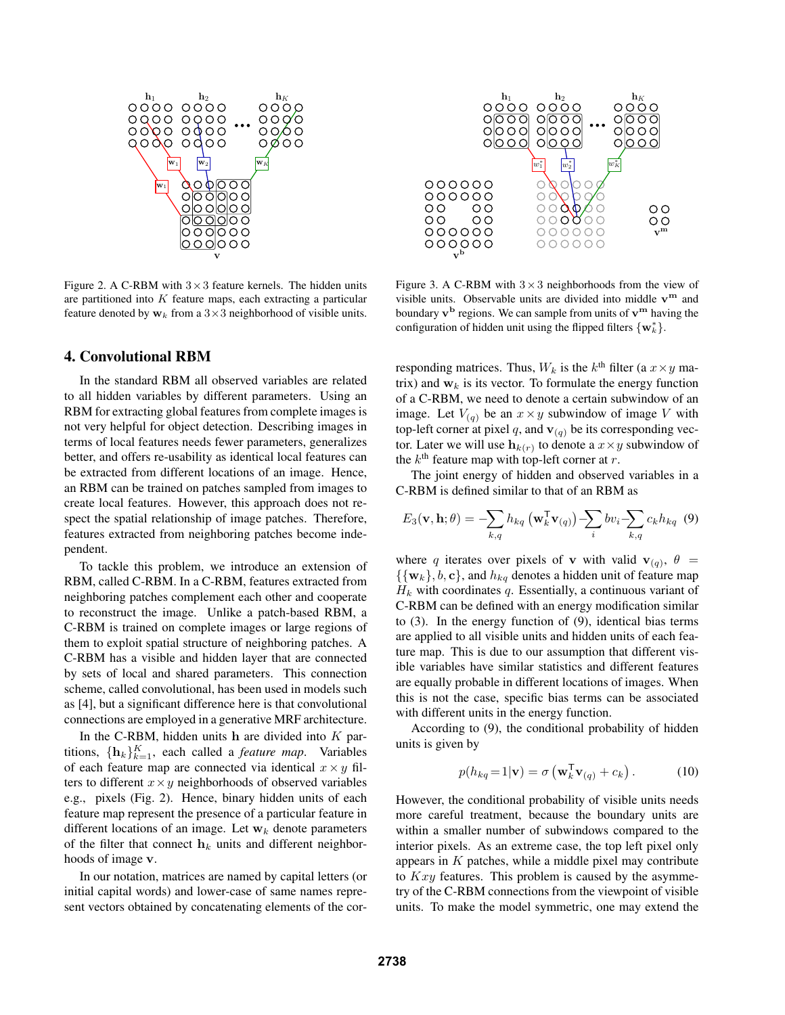

Figure 2. A C-RBM with  $3 \times 3$  feature kernels. The hidden units are partitioned into  $K$  feature maps, each extracting a particular feature denoted by  $w_k$  from a  $3\times 3$  neighborhood of visible units.

# 4. Convolutional RBM

In the standard RBM all observed variables are related to all hidden variables by different parameters. Using an RBM for extracting global features from complete images is not very helpful for object detection. Describing images in terms of local features needs fewer parameters, generalizes better, and offers re-usability as identical local features can be extracted from different locations of an image. Hence, an RBM can be trained on patches sampled from images to create local features. However, this approach does not respect the spatial relationship of image patches. Therefore, features extracted from neighboring patches become independent.

To tackle this problem, we introduce an extension of RBM, called C-RBM. In a C-RBM, features extracted from neighboring patches complement each other and cooperate to reconstruct the image. Unlike a patch-based RBM, a C-RBM is trained on complete images or large regions of them to exploit spatial structure of neighboring patches. A C-RBM has a visible and hidden layer that are connected by sets of local and shared parameters. This connection scheme, called convolutional, has been used in models such as [4], but a significant difference here is that convolutional connections are employed in a generative MRF architecture.

In the C-RBM, hidden units h are divided into  $K$  partitions,  $\{\mathbf h_k\}_{k=1}^K$ , each called a *feature map*. Variables of each feature map are connected via identical  $x \times y$  filters to different  $x \times y$  neighborhoods of observed variables e.g., pixels (Fig. 2). Hence, binary hidden units of each feature map represent the presence of a particular feature in different locations of an image. Let  $w_k$  denote parameters of the filter that connect  $h_k$  units and different neighborhoods of image v.

In our notation, matrices are named by capital letters (or initial capital words) and lower-case of same names represent vectors obtained by concatenating elements of the cor-



Figure 3. A C-RBM with  $3 \times 3$  neighborhoods from the view of visible units. Observable units are divided into middle  $v^m$  and boundary  $v^b$  regions. We can sample from units of  $v^m$  having the configuration of hidden unit using the flipped filters  $\{w_k^*\}.$ 

responding matrices. Thus,  $W_k$  is the  $k^{\text{th}}$  filter (a  $x \times y$  matrix) and  $w_k$  is its vector. To formulate the energy function of a C-RBM, we need to denote a certain subwindow of an image. Let  $V_{(q)}$  be an  $x \times y$  subwindow of image V with top-left corner at pixel q, and  $\mathbf{v}_{(q)}$  be its corresponding vector. Later we will use  $\mathbf{h}_{k(r)}$  to denote a  $x \times y$  subwindow of the  $k^{\text{th}}$  feature map with top-left corner at r.

The joint energy of hidden and observed variables in a C-RBM is defined similar to that of an RBM as

$$
E_3(\mathbf{v}, \mathbf{h}; \theta) = -\sum_{k,q} h_{kq} \left( \mathbf{w}_k^{\mathsf{T}} \mathbf{v}_{(q)} \right) - \sum_i b v_i - \sum_{k,q} c_k h_{kq} \tag{9}
$$

where q iterates over pixels of **v** with valid  $\mathbf{v}_{(q)}$ ,  $\theta =$  $\{\{\mathbf w_k\}, b, \mathbf c\}$ , and  $h_{kq}$  denotes a hidden unit of feature map  $H_k$  with coordinates q. Essentially, a continuous variant of C-RBM can be defined with an energy modification similar to (3). In the energy function of (9), identical bias terms are applied to all visible units and hidden units of each feature map. This is due to our assumption that different visible variables have similar statistics and different features are equally probable in different locations of images. When this is not the case, specific bias terms can be associated with different units in the energy function.

According to (9), the conditional probability of hidden units is given by

$$
p(h_{kq} = 1|\mathbf{v}) = \sigma\left(\mathbf{w}_k^{\mathsf{T}}\mathbf{v}_{(q)} + c_k\right). \tag{10}
$$

However, the conditional probability of visible units needs more careful treatment, because the boundary units are within a smaller number of subwindows compared to the interior pixels. As an extreme case, the top left pixel only appears in  $K$  patches, while a middle pixel may contribute to  $Kxy$  features. This problem is caused by the asymmetry of the C-RBM connections from the viewpoint of visible units. To make the model symmetric, one may extend the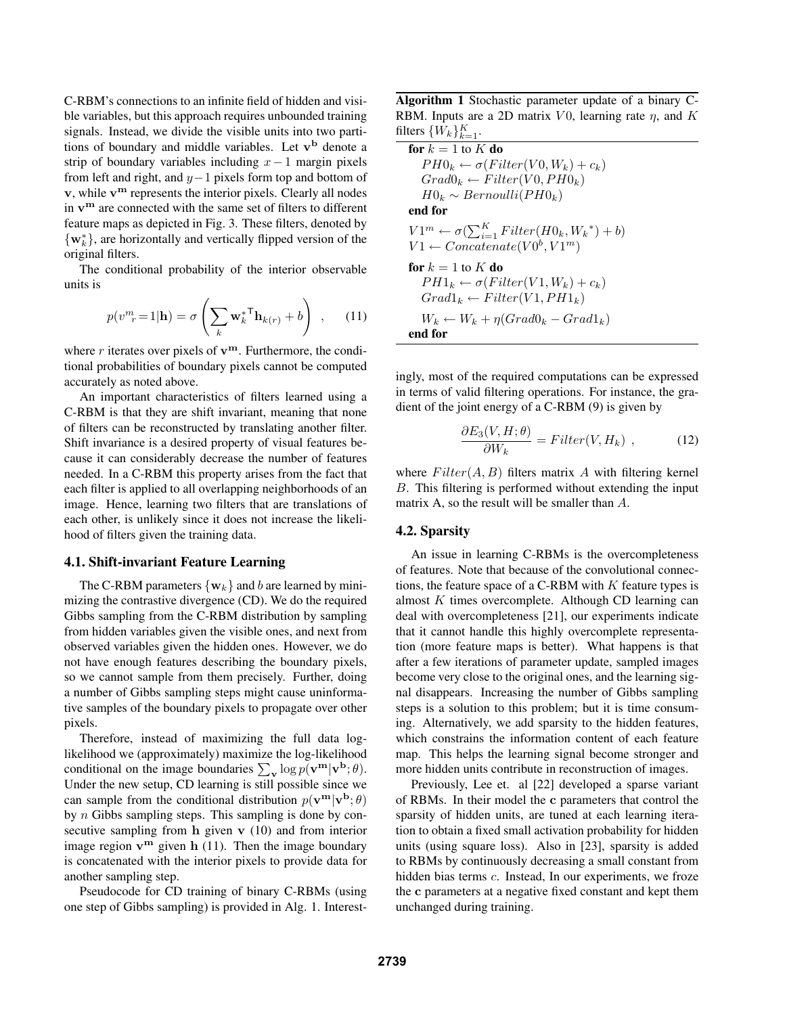C-RBM's connections to an infinite field of hidden and visible variables, but this approach requires unbounded training signals. Instead, we divide the visible units into two partitions of boundary and middle variables. Let v<sup>b</sup> denote a strip of boundary variables including  $x-1$  margin pixels from left and right, and  $y-1$  pixels form top and bottom of v, while v<sup>m</sup> represents the interior pixels. Clearly all nodes in  $v^m$  are connected with the same set of filters to different feature maps as depicted in Fig. 3. These filters, denoted by  $\{w_k^*\}$ , are horizontally and vertically flipped version of the original filters.

The conditional probability of the interior observable units is

$$
p(v^{m}_{r} = 1 | \mathbf{h}) = \sigma \left( \sum_{k} \mathbf{w}_{k}^{*}^{\mathsf{T}} \mathbf{h}_{k(r)} + b \right) , \quad (11)
$$

where r iterates over pixels of  $v^m$ . Furthermore, the conditional probabilities of boundary pixels cannot be computed accurately as noted above.

An important characteristics of filters learned using a C-RBM is that they are shift invariant, meaning that none of filters can be reconstructed by translating another filter. Shift invariance is a desired property of visual features because it can considerably decrease the number of features needed. In a C-RBM this property arises from the fact that each filter is applied to all overlapping neighborhoods of an image. Hence, learning two filters that are translations of each other, is unlikely since it does not increase the likelihood of filters given the training data.

## 4.1. Shift-invariant Feature Learning

The C-RBM parameters  $\{w_k\}$  and b are learned by minimizing the contrastive divergence (CD). We do the required Gibbs sampling from the C-RBM distribution by sampling from hidden variables given the visible ones, and next from observed variables given the hidden ones. However, we do not have enough features describing the boundary pixels, so we cannot sample from them precisely. Further, doing a number of Gibbs sampling steps might cause uninformative samples of the boundary pixels to propagate over other pixels.

Therefore, instead of maximizing the full data loglikelihood we (approximately) maximize the log-likelihood conditional on the image boundaries  $\sum_{\mathbf{v}} \log p(\mathbf{v}^{\mathbf{m}} | \mathbf{v}^{\mathbf{b}}; \theta)$ . Under the new setup, CD learning is still possible since we can sample from the conditional distribution  $p(\mathbf{v}^{\mathbf{m}}|\mathbf{v}^{\mathbf{b}};\theta)$ by  $n$  Gibbs sampling steps. This sampling is done by consecutive sampling from  $h$  given  $v(10)$  and from interior image region  $v^m$  given h (11). Then the image boundary is concatenated with the interior pixels to provide data for another sampling step.

Pseudocode for CD training of binary C-RBMs (using one step of Gibbs sampling) is provided in Alg. 1. InterestAlgorithm 1 Stochastic parameter update of a binary C-RBM. Inputs are a 2D matrix V0, learning rate  $\eta$ , and K filters  $\{W_k\}_{k=1}^K$ .

for  $k = 1$  to  $K$  do  $PH0_k \leftarrow \sigma(Filter(V0, W_k) + c_k)$  $Grad0_k \leftarrow Filter(V0, PH0_k)$  $H0_k \sim Bernoulli(PH0_k)$ end for  $V1^m \leftarrow \sigma(\sum_{i=1}^K Filter(H0_k, W_k^*) + b)$  $V1 \leftarrow Concatenate(V0^b, V1^m)$ for  $k = 1$  to  $K$  do  $PH1_k \leftarrow \sigma(Filter(V1, W_k) + c_k)$  $Grad1_k \leftarrow Filter(V1, PH1_k)$  $W_k \leftarrow W_k + \eta (Grad0_k - Grad1_k)$ end for

ingly, most of the required computations can be expressed in terms of valid filtering operations. For instance, the gradient of the joint energy of a C-RBM (9) is given by

$$
\frac{\partial E_3(V, H; \theta)}{\partial W_k} = Filter(V, H_k) \tag{12}
$$

where  $Filter(A, B)$  filters matrix A with filtering kernel B. This filtering is performed without extending the input matrix A, so the result will be smaller than A.

## 4.2. Sparsity

An issue in learning C-RBMs is the overcompleteness of features. Note that because of the convolutional connections, the feature space of a C-RBM with  $K$  feature types is almost K times overcomplete. Although CD learning can deal with overcompleteness [21], our experiments indicate that it cannot handle this highly overcomplete representation (more feature maps is better). What happens is that after a few iterations of parameter update, sampled images become very close to the original ones, and the learning signal disappears. Increasing the number of Gibbs sampling steps is a solution to this problem; but it is time consuming. Alternatively, we add sparsity to the hidden features, which constrains the information content of each feature map. This helps the learning signal become stronger and more hidden units contribute in reconstruction of images.

Previously, Lee et. al [22] developed a sparse variant of RBMs. In their model the c parameters that control the sparsity of hidden units, are tuned at each learning iteration to obtain a fixed small activation probability for hidden units (using square loss). Also in [23], sparsity is added to RBMs by continuously decreasing a small constant from hidden bias terms c. Instead, In our experiments, we froze the c parameters at a negative fixed constant and kept them unchanged during training.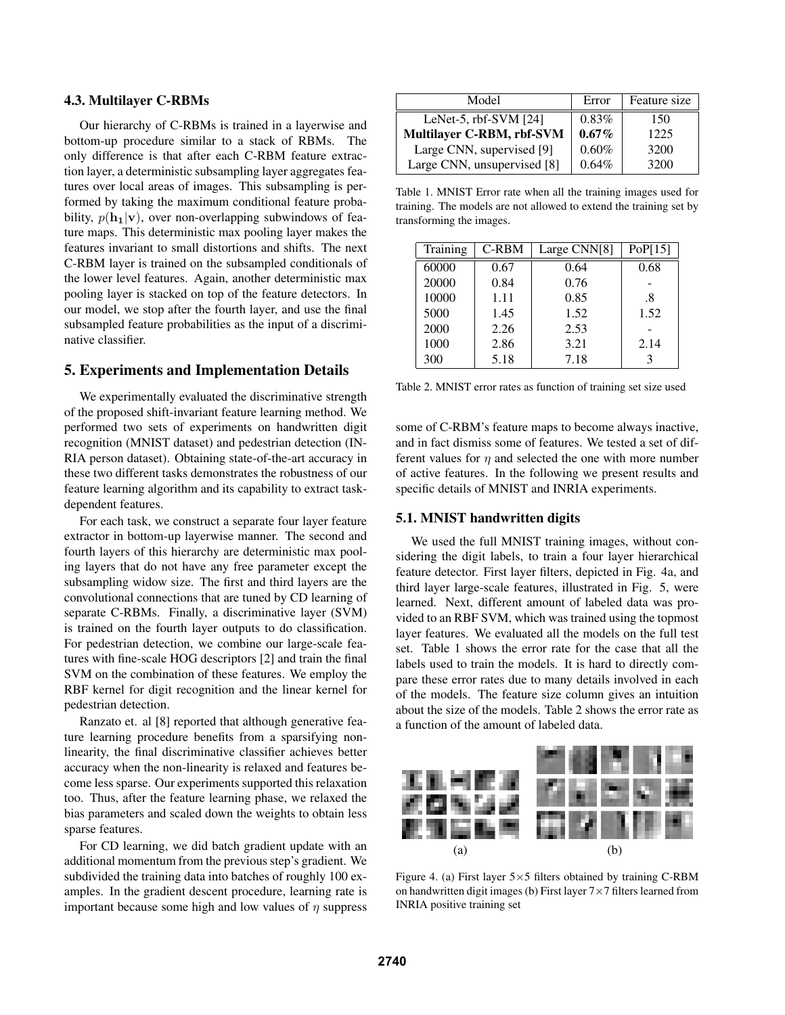# 4.3. Multilayer C-RBMs

Our hierarchy of C-RBMs is trained in a layerwise and bottom-up procedure similar to a stack of RBMs. The only difference is that after each C-RBM feature extraction layer, a deterministic subsampling layer aggregates features over local areas of images. This subsampling is performed by taking the maximum conditional feature probability,  $p(\mathbf{h}_1|\mathbf{v})$ , over non-overlapping subwindows of feature maps. This deterministic max pooling layer makes the features invariant to small distortions and shifts. The next C-RBM layer is trained on the subsampled conditionals of the lower level features. Again, another deterministic max pooling layer is stacked on top of the feature detectors. In our model, we stop after the fourth layer, and use the final subsampled feature probabilities as the input of a discriminative classifier.

# 5. Experiments and Implementation Details

We experimentally evaluated the discriminative strength of the proposed shift-invariant feature learning method. We performed two sets of experiments on handwritten digit recognition (MNIST dataset) and pedestrian detection (IN-RIA person dataset). Obtaining state-of-the-art accuracy in these two different tasks demonstrates the robustness of our feature learning algorithm and its capability to extract taskdependent features.

For each task, we construct a separate four layer feature extractor in bottom-up layerwise manner. The second and fourth layers of this hierarchy are deterministic max pooling layers that do not have any free parameter except the subsampling widow size. The first and third layers are the convolutional connections that are tuned by CD learning of separate C-RBMs. Finally, a discriminative layer (SVM) is trained on the fourth layer outputs to do classification. For pedestrian detection, we combine our large-scale features with fine-scale HOG descriptors [2] and train the final SVM on the combination of these features. We employ the RBF kernel for digit recognition and the linear kernel for pedestrian detection.

Ranzato et. al [8] reported that although generative feature learning procedure benefits from a sparsifying nonlinearity, the final discriminative classifier achieves better accuracy when the non-linearity is relaxed and features become less sparse. Our experiments supported this relaxation too. Thus, after the feature learning phase, we relaxed the bias parameters and scaled down the weights to obtain less sparse features.

For CD learning, we did batch gradient update with an additional momentum from the previous step's gradient. We subdivided the training data into batches of roughly 100 examples. In the gradient descent procedure, learning rate is important because some high and low values of  $\eta$  suppress

| Model                       | Error    | Feature size |
|-----------------------------|----------|--------------|
| LeNet-5, rbf-SVM [24]       | $0.83\%$ | 150          |
| Multilayer C-RBM, rbf-SVM   | $0.67\%$ | 1225         |
| Large CNN, supervised [9]   | 0.60%    | 3200         |
| Large CNN, unsupervised [8] | 0.64%    | 3200         |

Table 1. MNIST Error rate when all the training images used for training. The models are not allowed to extend the training set by transforming the images.

| Training | C-RBM | Large CNN[8] | PoP[15] |
|----------|-------|--------------|---------|
| 60000    | 0.67  | 0.64         | 0.68    |
| 20000    | 0.84  | 0.76         |         |
| 10000    | 1.11  | 0.85         | .8      |
| 5000     | 1.45  | 1.52         | 1.52    |
| 2000     | 2.26  | 2.53         |         |
| 1000     | 2.86  | 3.21         | 2.14    |
| 300      | 5.18  | 7.18         |         |

Table 2. MNIST error rates as function of training set size used

some of C-RBM's feature maps to become always inactive, and in fact dismiss some of features. We tested a set of different values for  $\eta$  and selected the one with more number of active features. In the following we present results and specific details of MNIST and INRIA experiments.

## 5.1. MNIST handwritten digits

We used the full MNIST training images, without considering the digit labels, to train a four layer hierarchical feature detector. First layer filters, depicted in Fig. 4a, and third layer large-scale features, illustrated in Fig. 5, were learned. Next, different amount of labeled data was provided to an RBF SVM, which was trained using the topmost layer features. We evaluated all the models on the full test set. Table 1 shows the error rate for the case that all the labels used to train the models. It is hard to directly compare these error rates due to many details involved in each of the models. The feature size column gives an intuition about the size of the models. Table 2 shows the error rate as a function of the amount of labeled data.



Figure 4. (a) First layer  $5 \times 5$  filters obtained by training C-RBM on handwritten digit images (b) First layer  $7 \times 7$  filters learned from INRIA positive training set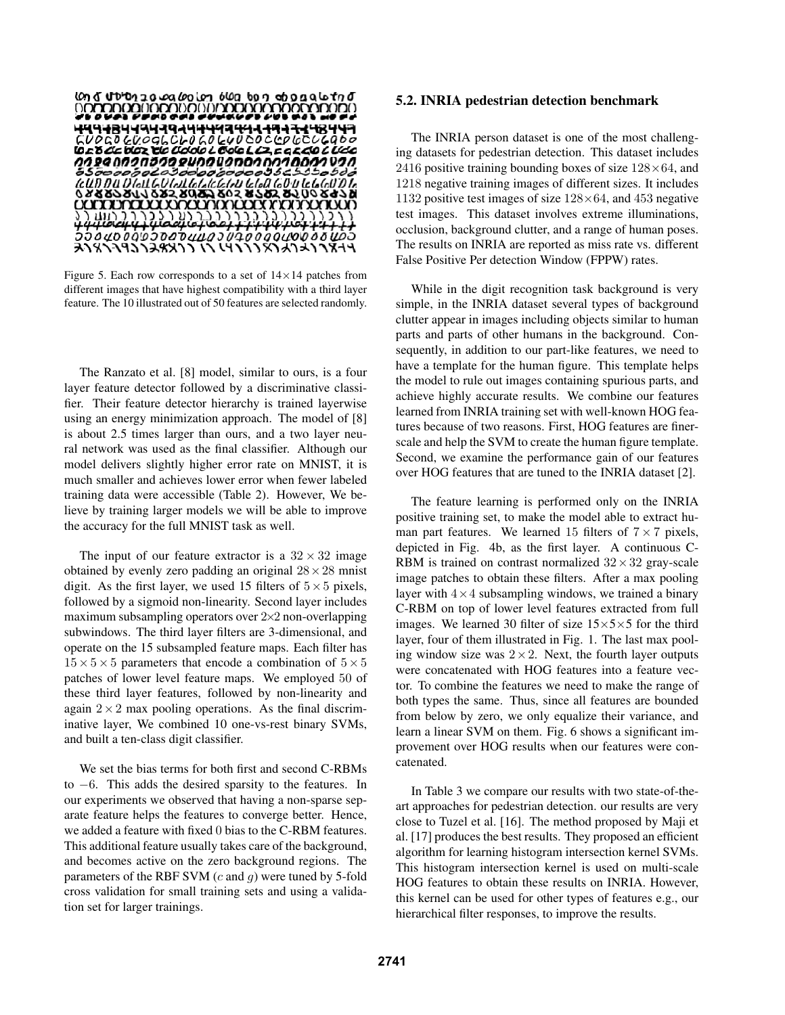

Figure 5. Each row corresponds to a set of  $14 \times 14$  patches from different images that have highest compatibility with a third layer feature. The 10 illustrated out of 50 features are selected randomly.

The Ranzato et al. [8] model, similar to ours, is a four layer feature detector followed by a discriminative classifier. Their feature detector hierarchy is trained layerwise using an energy minimization approach. The model of [8] is about 2.5 times larger than ours, and a two layer neural network was used as the final classifier. Although our model delivers slightly higher error rate on MNIST, it is much smaller and achieves lower error when fewer labeled training data were accessible (Table 2). However, We believe by training larger models we will be able to improve the accuracy for the full MNIST task as well.

The input of our feature extractor is a  $32 \times 32$  image obtained by evenly zero padding an original  $28 \times 28$  mnist digit. As the first layer, we used 15 filters of  $5 \times 5$  pixels, followed by a sigmoid non-linearity. Second layer includes maximum subsampling operators over 2×2 non-overlapping subwindows. The third layer filters are 3-dimensional, and operate on the 15 subsampled feature maps. Each filter has  $15 \times 5 \times 5$  parameters that encode a combination of  $5 \times 5$ patches of lower level feature maps. We employed 50 of these third layer features, followed by non-linearity and again  $2 \times 2$  max pooling operations. As the final discriminative layer, We combined 10 one-vs-rest binary SVMs, and built a ten-class digit classifier.

We set the bias terms for both first and second C-RBMs to −6. This adds the desired sparsity to the features. In our experiments we observed that having a non-sparse separate feature helps the features to converge better. Hence, we added a feature with fixed 0 bias to the C-RBM features. This additional feature usually takes care of the background, and becomes active on the zero background regions. The parameters of the RBF SVM  $(c \text{ and } q)$  were tuned by 5-fold cross validation for small training sets and using a validation set for larger trainings.

### 5.2. INRIA pedestrian detection benchmark

The INRIA person dataset is one of the most challenging datasets for pedestrian detection. This dataset includes 2416 positive training bounding boxes of size  $128\times64$ , and 1218 negative training images of different sizes. It includes 1132 positive test images of size  $128\times64$ , and 453 negative test images. This dataset involves extreme illuminations, occlusion, background clutter, and a range of human poses. The results on INRIA are reported as miss rate vs. different False Positive Per detection Window (FPPW) rates.

While in the digit recognition task background is very simple, in the INRIA dataset several types of background clutter appear in images including objects similar to human parts and parts of other humans in the background. Consequently, in addition to our part-like features, we need to have a template for the human figure. This template helps the model to rule out images containing spurious parts, and achieve highly accurate results. We combine our features learned from INRIA training set with well-known HOG features because of two reasons. First, HOG features are finerscale and help the SVM to create the human figure template. Second, we examine the performance gain of our features over HOG features that are tuned to the INRIA dataset [2].

The feature learning is performed only on the INRIA positive training set, to make the model able to extract human part features. We learned 15 filters of  $7 \times 7$  pixels, depicted in Fig. 4b, as the first layer. A continuous C-RBM is trained on contrast normalized  $32 \times 32$  gray-scale image patches to obtain these filters. After a max pooling layer with  $4 \times 4$  subsampling windows, we trained a binary C-RBM on top of lower level features extracted from full images. We learned 30 filter of size  $15 \times 5 \times 5$  for the third layer, four of them illustrated in Fig. 1. The last max pooling window size was  $2 \times 2$ . Next, the fourth layer outputs were concatenated with HOG features into a feature vector. To combine the features we need to make the range of both types the same. Thus, since all features are bounded from below by zero, we only equalize their variance, and learn a linear SVM on them. Fig. 6 shows a significant improvement over HOG results when our features were concatenated.

In Table 3 we compare our results with two state-of-theart approaches for pedestrian detection. our results are very close to Tuzel et al. [16]. The method proposed by Maji et al. [17] produces the best results. They proposed an efficient algorithm for learning histogram intersection kernel SVMs. This histogram intersection kernel is used on multi-scale HOG features to obtain these results on INRIA. However, this kernel can be used for other types of features e.g., our hierarchical filter responses, to improve the results.